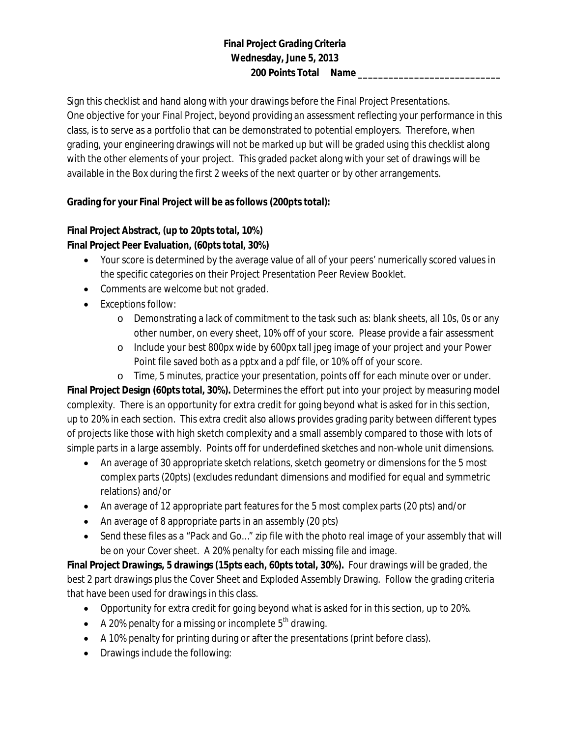## **Final Project Grading Criteria Wednesday, June 5, 2013 200 Points Total Name \_\_\_\_\_\_\_\_\_\_\_\_\_\_\_\_\_\_\_\_\_\_\_\_\_\_\_\_**

Sign this checklist and hand along with your drawings before the *Final Project Presentations.* One objective for your Final Project, beyond providing an assessment reflecting your performance in this class, is to serve as a portfolio that can be demonstrated to potential employers. Therefore, when grading, your engineering drawings will not be marked up but will be graded using this checklist along with the other elements of your project. This graded packet along with your set of drawings will be available in the *Box* during the first 2 weeks of the next quarter or by other arrangements.

## **Grading for your Final Project will be as follows (200pts total):**

## **Final Project Abstract, (up to 20pts total, 10%) Final Project Peer Evaluation, (60pts total, 30%)**

- Your score is determined by the average value of all of your peers' numerically scored values in the specific categories on their Project Presentation Peer Review Booklet.
- Comments are welcome but not graded.
- Exceptions follow:
	- o Demonstrating a lack of commitment to the task such as: blank sheets, all 10s, 0s or any other number, on every sheet, 10% off of your score. Please provide a fair assessment
	- o Include your best 800px wide by 600px tall jpeg image of your project and your Power Point file saved both as a pptx and a pdf file, or 10% off of your score.
	- o Time, 5 minutes, practice your presentation, points off for each minute over or under.

**Final Project Design (60pts total, 30%).** Determines the effort put into your project by measuring model complexity. There is an opportunity for extra credit for going beyond what is asked for in this section, up to 20% in each section. This extra credit also allows provides grading parity between different types of projects like those with high sketch complexity and a small assembly compared to those with lots of simple parts in a large assembly. Points off for underdefined sketches and non-whole unit dimensions.

- An average of 30 appropriate sketch relations, sketch geometry or dimensions for the 5 most complex parts (20pts) (excludes redundant dimensions and modified for equal and symmetric relations) and/or
- An average of 12 appropriate part features for the 5 most complex parts (20 pts) and/or
- An average of 8 appropriate parts in an assembly (20 pts)
- Send these files as a "Pack and Go..." zip file with the photo real image of your assembly that will be on your Cover sheet. A 20% penalty for each missing file and image.

**Final Project Drawings, 5 drawings (15pts each, 60pts total, 30%).** Four drawings will be graded, the best 2 part drawings plus the Cover Sheet and Exploded Assembly Drawing. Follow the grading criteria that have been used for drawings in this class.

- Opportunity for extra credit for going beyond what is asked for in this section, up to 20%.
- A 20% penalty for a missing or incomplete  $5<sup>th</sup>$  drawing.
- A 10% penalty for printing during or after the presentations (print before class).
- Drawings include the following: